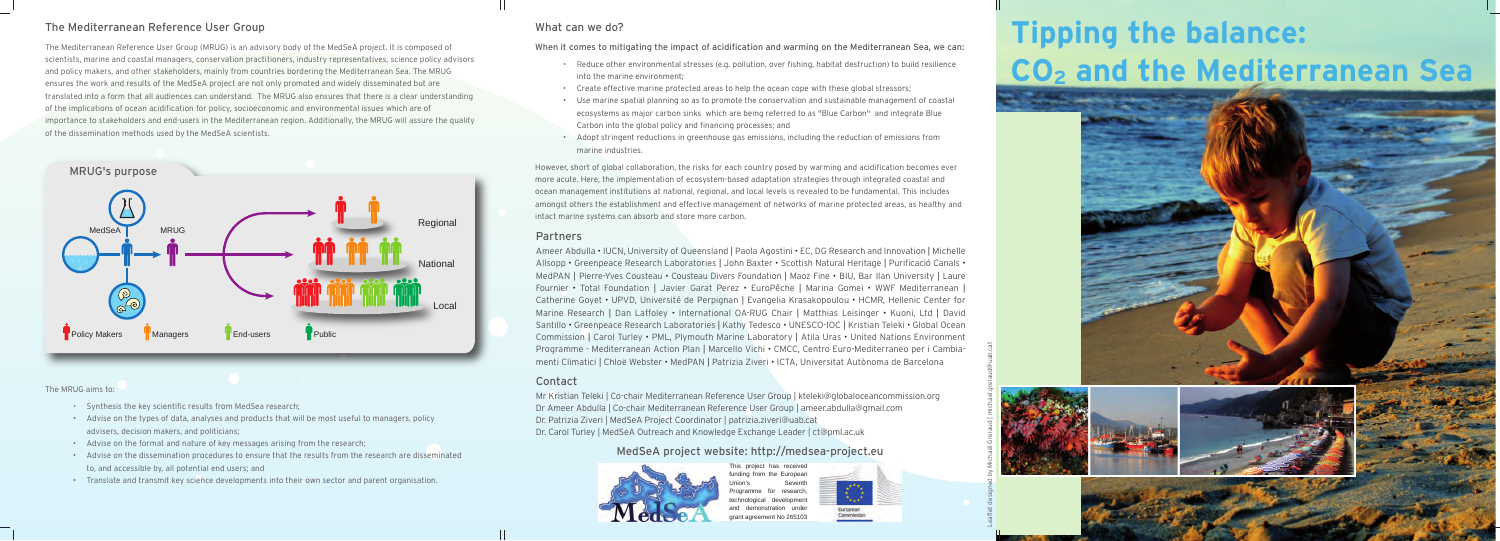# **Tipping the balance: CO2 and the Mediterranean Sea**



## Partners

## Contact

## The Mediterranean Reference User Group

The Mediterranean Reference User Group (MRUG) is an advisory body of the MedSeA project. It is composed of scientists, marine and coastal managers, conservation practitioners, industry representatives, science policy advisors and policy makers, and other stakeholders, mainly from countries bordering the Mediterranean Sea. The MRUG ensures the work and results of the MedSeA project are not only promoted and widely disseminated but are translated into a form that all audiences can understand. The MRUG also ensures that there is a clear understanding of the implications of ocean acidification for policy, socioeconomic and environmental issues which are of importance to stakeholders and end-users in the Mediterranean region. Additionally, the MRUG will assure the quality of the dissemination methods used by the MedSeA scientists.

## What can we do?

- Reduce other environmental stresses (e.g. pollution, over fishing, habitat destruction) to build resilience into the marine environment;
- Create effective marine protected areas to help the ocean cope with these global stressors;
- Use marine spatial planning so as to promote the conservation and sustainable management of coastal ecosystems as major carbon sinks which are being referred to as "Blue Carbon" and integrate Blue Carbon into the global policy and financing processes; and
- Adopt stringent reductions in greenhouse gas emissions, including the reduction of emissions from marine industries.

When it comes to mitigating the impact of acidification and warming on the Mediterranean Sea, we can:



However, short of global collaboration, the risks for each country posed by warming and acidification becomes ever more acute. Here, the implementation of ecosystem-based adaptation strategies through integrated coastal and ocean management institutions at national, regional, and local levels is revealed to be fundamental. This includes amongst others the establishment and effective management of networks of marine protected areas, as healthy and intact marine systems can absorb and store more carbon.

> This project has received inding from the European Seventh Programme for research, echnological development demonstration under grant agreement No 265103



Mr Kristian Teleki | Co-chair Mediterranean Reference User Group | kteleki@globaloceancommission.org Dr Ameer Abdulla | Co-chair Mediterranean Reference User Group | ameer.abdulla@gmail.com Dr. Patrizia Ziveri | MedSeA Project Coordinator | patrizia.ziveri@uab.cat Dr. Carol Turley | MedSeA Outreach and Knowledge Exchange Leader | ct@pml.ac.uk

Leaflet designed by Michaël Grelaud | michael.grelaud@uab.cat

Ameer Abdulla • IUCN, University of Queensland | Paola Agostini • EC, DG Research and Innovation | Michelle Allsopp • Greenpeace Research Laboratories | John Baxter • Scottish Natural Heritage | Purificació Canals • MedPAN | Pierre-Yves Cousteau • Cousteau Divers Foundation | Maoz Fine • BIU, Bar Ilan University | Laure Fournier • Total Foundation | Javier Garat Perez • EuroPêche | Marina Gomei • WWF Mediterranean | Catherine Goyet • UPVD, Université de Perpignan | Evangelia Krasakopoulou • HCMR, Hellenic Center for Marine Research | Dan Laffoley • International OA-RUG Chair | Matthias Leisinger • Kuoni, Ltd | David Santillo • Greenpeace Research Laboratories | Kathy Tedesco • UNESCO-IOC | Kristian Teleki • Global Ocean Commission | Carol Turley • PML, Plymouth Marine Laboratory | Atila Uras • United Nations Environment Programme - Mediterranean Action Plan | Marcello Vichi • CMCC, Centro Euro-Mediterraneo per i Cambiamenti Climatici | Chloë Webster • MedPAN | Patrizia Ziveri • ICTA, Universitat Autònoma de Barcelona

### The MRUG aims to:

- Synthesis the key scientific results from MedSea research;
- Advise on the types of data, analyses and products that will be most useful to managers, policy advisers, decision makers, and politicians;
- Advise on the format and nature of key messages arising from the research;
- Advise on the dissemination procedures to ensure that the results from the research are disseminated to, and accessible by, all potential end users; and
- Translate and transmit key science developments into their own sector and parent organisation.

## MedSeA project website: http://medsea-project.eu